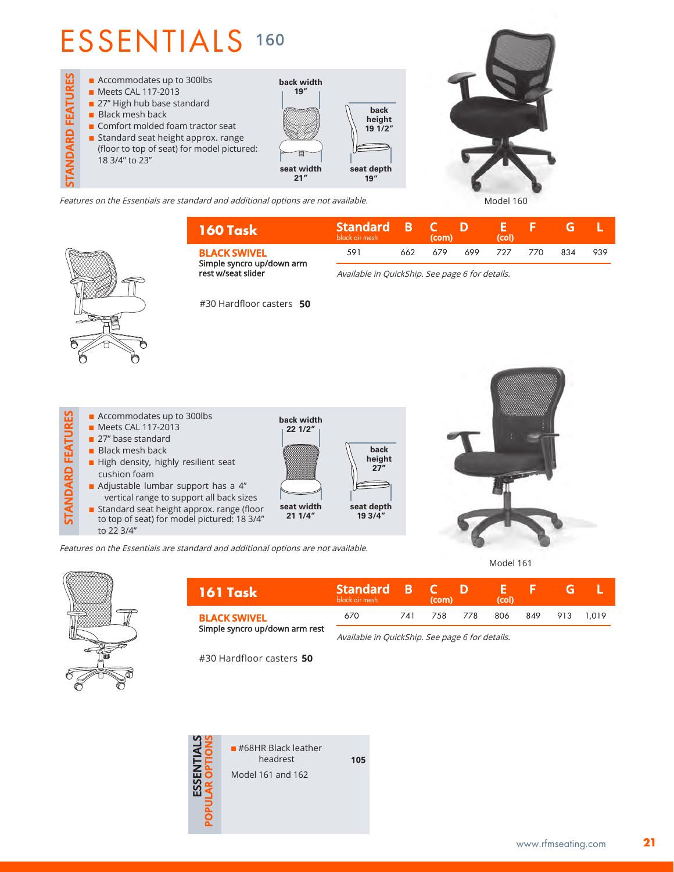## ESSENTIALS <sup>160</sup>



Features on the Essentials are standard and additional options are not available. Model 160

| 160 Task                                                                                           | Standard B C<br>black air mesh |      | (com) |     | (col) |     |     |     |
|----------------------------------------------------------------------------------------------------|--------------------------------|------|-------|-----|-------|-----|-----|-----|
| <b>BLACK SWIVEL</b>                                                                                | 591                            | 662. | 679   | 699 | 727   | 770 | 834 | 939 |
| Simple syncro up/down arm<br>rest w/seat slider<br>Available in OuickShip. See page 6 for details. |                                |      |       |     |       |     |     |     |

Available in QuickShip. See page 6 for details.



 $\blacksquare$  Accommodates up to 300lbs **STANDARD FEATURES STANDARD FEATURES n** Meets CAL 117-2013 27" base standard  $\blacksquare$  Black mesh back  $\blacksquare$  High density, highly resilient seat cushion foam Adjustable lumbar support has a 4" vertical range to support all back sizes **n** Standard seat height approx. range (floor to top of seat) for model pictured: 18 3/4"



Model 161



to 22 3/4"

| – 161 Task                     | <b>Standard B</b><br>black air mesh             |      | (com)                                    | ு | (col) |  |  |  |  |  |
|--------------------------------|-------------------------------------------------|------|------------------------------------------|---|-------|--|--|--|--|--|
| <b>BLACK SWIVEL</b>            | 670                                             | 74 I | 778<br>806<br>7.58<br>849<br>913<br>1019 |   |       |  |  |  |  |  |
| Simple syncro up/down arm rest | Available in QuickShip. See page 6 for details. |      |                                          |   |       |  |  |  |  |  |

#30 Hardfloor casters **50**

Features on the Essentials are standard and additional options are not available.